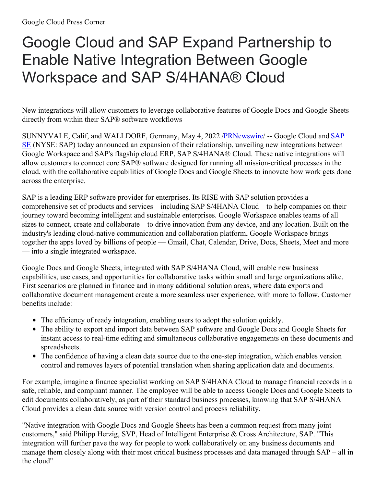## Google Cloud and SAP Expand Partnership to Enable Native Integration Between Google Workspace and SAP S/4HANA® Cloud

New integrations will allow customers to leverage collaborative features of Google Docs and Google Sheets directly from within their SAP® software workflows

[SUNNYVALE,](https://c212.net/c/link/?t=0&l=en&o=3524824-1&h=1848763151&u=http%3A%2F%2Fwww.sap.com%2F&a=SAP+SE) Calif, and WALLDORF, Germany, May 4, 2022 [/PRNewswire](http://www.prnewswire.com/)/ -- Google Cloud and SAP SE (NYSE: SAP) today announced an expansion of their relationship, unveiling new integrations between Google Workspace and SAP's flagship cloud ERP, SAP S/4HANA® Cloud. These native integrations will allow customers to connect core SAP® software designed for running all mission-critical processes in the cloud, with the collaborative capabilities of Google Docs and Google Sheets to innovate how work gets done across the enterprise.

SAP is a leading ERP software provider for enterprises. Its RISE with SAP solution provides a comprehensive set of products and services – including SAP S/4HANA Cloud – to help companies on their journey toward becoming intelligent and sustainable enterprises. Google Workspace enables teams of all sizes to connect, create and collaborate—to drive innovation from any device, and any location. Built on the industry's leading cloud-native communication and collaboration platform, Google Workspace brings together the apps loved by billions of people — Gmail, Chat, Calendar, Drive, Docs, Sheets, Meet and more — into a single integrated workspace.

Google Docs and Google Sheets, integrated with SAP S/4HANA Cloud, will enable new business capabilities, use cases, and opportunities for collaborative tasks within small and large organizations alike. First scenarios are planned in finance and in many additional solution areas, where data exports and collaborative document management create a more seamless user experience, with more to follow. Customer benefits include:

- The efficiency of ready integration, enabling users to adopt the solution quickly.
- The ability to export and import data between SAP software and Google Docs and Google Sheets for instant access to real-time editing and simultaneous collaborative engagements on these documents and spreadsheets.
- The confidence of having a clean data source due to the one-step integration, which enables version control and removes layers of potential translation when sharing application data and documents.

For example, imagine a finance specialist working on SAP S/4HANA Cloud to manage financial records in a safe, reliable, and compliant manner. The employee will be able to access Google Docs and Google Sheets to edit documents collaboratively, as part of their standard business processes, knowing that SAP S/4HANA Cloud provides a clean data source with version control and process reliability.

"Native integration with Google Docs and Google Sheets has been a common request from many joint customers," said Philipp Herzig, SVP, Head of Intelligent Enterprise & Cross Architecture, SAP. "This integration will further pave the way for people to work collaboratively on any business documents and manage them closely along with their most critical business processes and data managed through SAP – all in the cloud"